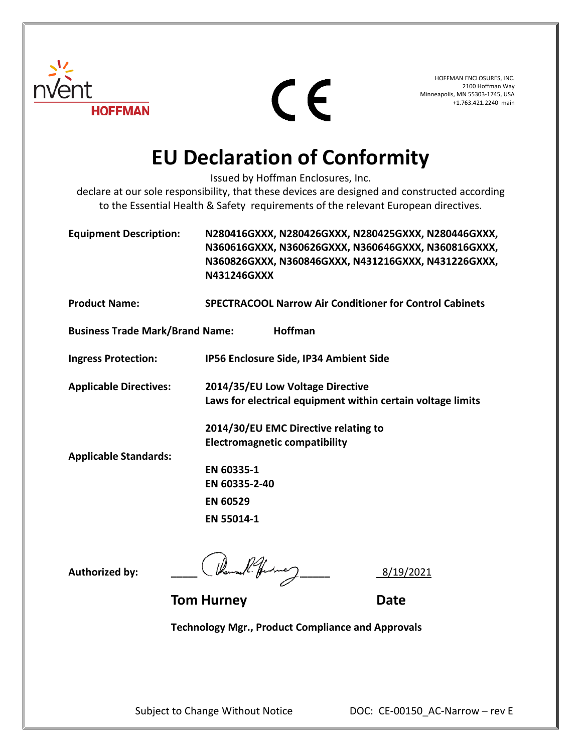

CE

HOFFMAN ENCLOSURES, INC. 2100 Hoffman Way Minneapolis, MN 55303-1745, USA +1.763.421.2240 main

## **EU Declaration of Conformity**

Issued by Hoffman Enclosures, Inc.

declare at our sole responsibility, that these devices are designed and constructed according to the Essential Health & Safety requirements of the relevant European directives.

**Equipment Description: N280416GXXX, N280426GXXX, N280425GXXX, N280446GXXX, N360616GXXX, N360626GXXX, N360646GXXX, N360816GXXX, N360826GXXX, N360846GXXX, N431216GXXX, N431226GXXX, N431246GXXX**

**Product Name: SPECTRACOOL Narrow Air Conditioner for Control Cabinets Business Trade Mark/Brand Name: Hoffman Ingress Protection: IP56 Enclosure Side, IP34 Ambient Side**

**Applicable Directives: 2014/35/EU Low Voltage Directive Laws for electrical equipment within certain voltage limits**

> **2014/30/EU EMC Directive relating to Electromagnetic compatibility**

**Applicable Standards:**

**EN 60335-1 EN 60335-2-40 EN 60529 EN 55014-1**

**Authorized by: \_\_\_\_\_\_\_\_\_\_\_\_\_\_\_\_\_\_\_\_\_\_\_\_\_\_\_\_** 8/19/2021

**Tom Hurney**  Date

**Technology Mgr., Product Compliance and Approvals**

Subject to Change Without Notice DOC: CE-00150\_AC-Narrow – rev E